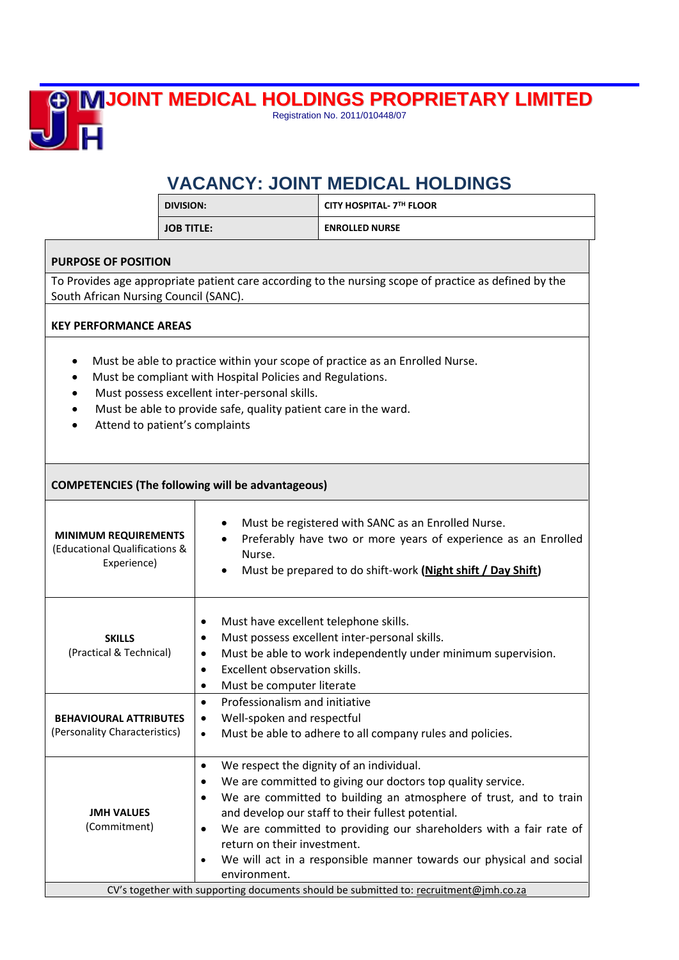

**JOINT MEDICAL HOLDINGS PROPRIETARY LIMITED** Registration No. 2011/010448/07

## **VACANCY: JOINT MEDICAL HOLDINGS**

|                                                                                                                                                                                                                                                                                                              | <b>DIVISION:</b>                                                                                                           | CITY HOSPITAL- 7TH FLOOR                                                                                                                                                                                                                                                                                                                                                                                                                                                |  |
|--------------------------------------------------------------------------------------------------------------------------------------------------------------------------------------------------------------------------------------------------------------------------------------------------------------|----------------------------------------------------------------------------------------------------------------------------|-------------------------------------------------------------------------------------------------------------------------------------------------------------------------------------------------------------------------------------------------------------------------------------------------------------------------------------------------------------------------------------------------------------------------------------------------------------------------|--|
|                                                                                                                                                                                                                                                                                                              | <b>JOB TITLE:</b>                                                                                                          | <b>ENROLLED NURSE</b>                                                                                                                                                                                                                                                                                                                                                                                                                                                   |  |
| <b>PURPOSE OF POSITION</b>                                                                                                                                                                                                                                                                                   |                                                                                                                            |                                                                                                                                                                                                                                                                                                                                                                                                                                                                         |  |
| To Provides age appropriate patient care according to the nursing scope of practice as defined by the<br>South African Nursing Council (SANC).                                                                                                                                                               |                                                                                                                            |                                                                                                                                                                                                                                                                                                                                                                                                                                                                         |  |
| <b>KEY PERFORMANCE AREAS</b>                                                                                                                                                                                                                                                                                 |                                                                                                                            |                                                                                                                                                                                                                                                                                                                                                                                                                                                                         |  |
| Must be able to practice within your scope of practice as an Enrolled Nurse.<br>$\bullet$<br>Must be compliant with Hospital Policies and Regulations.<br>Must possess excellent inter-personal skills.<br>Must be able to provide safe, quality patient care in the ward.<br>Attend to patient's complaints |                                                                                                                            |                                                                                                                                                                                                                                                                                                                                                                                                                                                                         |  |
| <b>COMPETENCIES (The following will be advantageous)</b>                                                                                                                                                                                                                                                     |                                                                                                                            |                                                                                                                                                                                                                                                                                                                                                                                                                                                                         |  |
| <b>MINIMUM REQUIREMENTS</b><br>(Educational Qualifications &<br>Experience)                                                                                                                                                                                                                                  | Nurse.                                                                                                                     | Must be registered with SANC as an Enrolled Nurse.<br>Preferably have two or more years of experience as an Enrolled<br>Must be prepared to do shift-work (Night shift / Day Shift)                                                                                                                                                                                                                                                                                     |  |
| <b>SKILLS</b><br>(Practical & Technical)                                                                                                                                                                                                                                                                     | Must have excellent telephone skills.<br>٠<br>٠<br>Excellent observation skills.<br>$\bullet$<br>Must be computer literate | Must possess excellent inter-personal skills.<br>Must be able to work independently under minimum supervision.                                                                                                                                                                                                                                                                                                                                                          |  |
| <b>BEHAVIOURAL ATTRIBUTES</b><br>(Personality Characteristics)                                                                                                                                                                                                                                               | Professionalism and initiative<br>Well-spoken and respectful<br>٠<br>$\bullet$                                             | Must be able to adhere to all company rules and policies.                                                                                                                                                                                                                                                                                                                                                                                                               |  |
| <b>JMH VALUES</b><br>(Commitment)                                                                                                                                                                                                                                                                            | ٠<br>return on their investment.<br>environment.                                                                           | We respect the dignity of an individual.<br>We are committed to giving our doctors top quality service.<br>We are committed to building an atmosphere of trust, and to train<br>and develop our staff to their fullest potential.<br>We are committed to providing our shareholders with a fair rate of<br>We will act in a responsible manner towards our physical and social<br>CV's together with supporting documents should be submitted to: recruitment@jmh.co.za |  |